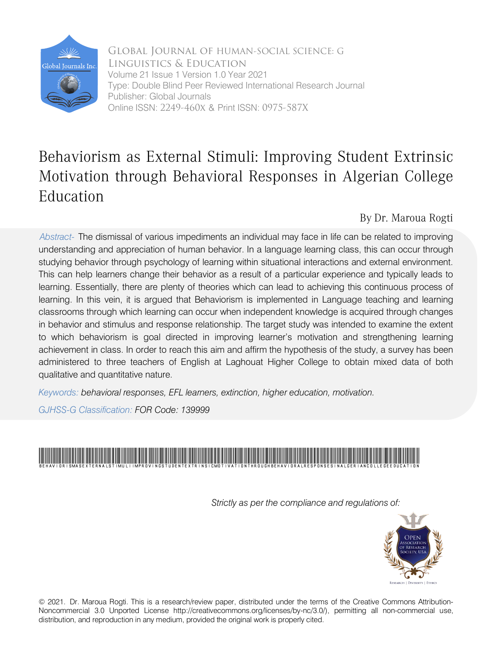

 Online ISSN: 2249-460x & Print ISSN: 0975-587X Global Journal of HUMAN-SOCIAL SCIENCE: G Linguistics & Education Volume 21 Issue 1 Version 1.0 Year 2021 Type: Double Blind Peer Reviewed International Research Journal Publisher: Global Journals

## Behaviorism as External Stimuli: Improving Student Extrinsic Motivation through Behavioral Responses in Algerian College Education

By Dr. Maroua Rogti

*Abstract-* The dismissal of various impediments an individual may face in life can be related to improving understanding and appreciation of human behavior. In a language learning class, this can occur through studying behavior through psychology of learning within situational interactions and external environment. This can help learners change their behavior as a result of a particular experience and typically leads to learning. Essentially, there are plenty of theories which can lead to achieving this continuous process of learning. In this vein, it is argued that Behaviorism is implemented in Language teaching and learning classrooms through which learning can occur when independent knowledge is acquired through changes in behavior and stimulus and response relationship. The target study was intended to examine the extent to which behaviorism is goal directed in improving learner's motivation and strengthening learning achievement in class. In order to reach this aim and affirm the hypothesis of the study, a survey has been administered to three teachers of English at Laghouat Higher College to obtain mixed data of both qualitative and quantitative nature.

*Keywords: behavioral responses, EFL learners, extinction, higher education, motivation.* 

*GJHSS-G Classification: FOR Code: 139999*



*Strictly as per the compliance and regulations of:*



© 2021. Dr. Maroua Rogti. This is a research/review paper, distributed under the terms of the Creative Commons Attribution-Noncommercial 3.0 Unported License http://creativecommons.org/licenses/by-nc/3.0/), permitting all non-commercial use, distribution, and reproduction in any medium, provided the original work is properly cited.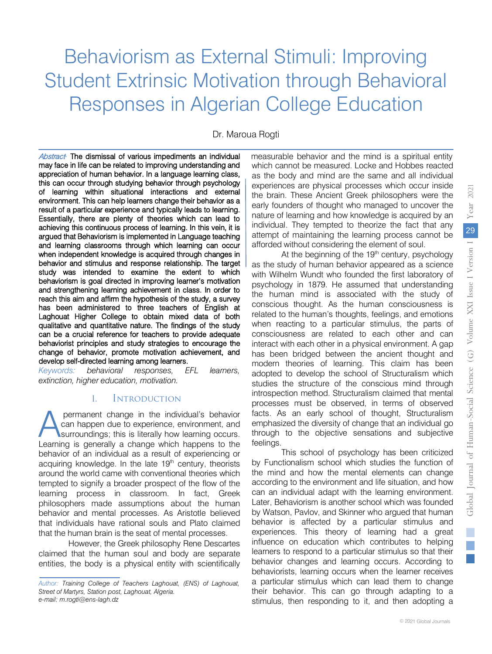# Behaviorism as External Stimuli: Improving Student Extrinsic Motivation through Behavioral Responses in Algerian College Education

Dr. Maroua Rogti

Abstract<sup>+</sup> The dismissal of various impediments an individual may face in life can be related to improving understanding and appreciation of human behavior. In a language learning class, this can occur through studying behavior through psychology of learning within situational interactions and external environment. This can help learners change their behavior as a result of a particular experience and typically leads to learning. Essentially, there are plenty of theories which can lead to achieving this continuous process of learning. In this vein, it is argued that Behaviorism is implemented in Language teaching and learning classrooms through which learning can occur when independent knowledge is acquired through changes in behavior and stimulus and response relationship. The target study was intended to examine the extent to which behaviorism is goal directed in improving learner's motivation and strengthening learning achievement in class. In order to reach this aim and affirm the hypothesis of the study, a survey has been administered to three teachers of English at Laghouat Higher College to obtain mixed data of both qualitative and quantitative nature. The findings of the study can be a crucial reference for teachers to provide adequate behaviorist principles and study strategies to encourage the change of behavior, promote motivation achievement, and develop self-directed learning among learners.

*Keywords: behavioral responses, EFL learners, extinction, higher education, motivation.*

## I. Introduction

permanent change in the individual's behavior can happen due to experience, environment, and surroundings; this is literally how learning occurs. **Learning is generally a change in the individual's behavior** can happen due to experience, environment, and surroundings; this is literally how learning occurs.<br>Learning is generally a change which happens to the behavior of an individual as a result of experiencing or acquiring knowledge. In the late 19<sup>th</sup> century, theorists around the world came with conventional theories which tempted to signify a broader prospect of the flow of the learning process in classroom. In fact, Greek philosophers made assumptions about the human behavior and mental processes. As Aristotle believed that individuals have rational souls and Plato claimed that the human brain is the seat of mental processes.

However, the Greek philosophy Rene Descartes claimed that the human soul and body are separate entities, the body is a physical entity with scientifically measurable behavior and the mind is a spiritual entity which cannot be measured. Locke and Hobbes reacted as the body and mind are the same and all individual experiences are physical processes which occur inside the brain. These Ancient Greek philosophers were the early founders of thought who managed to uncover the nature of learning and how knowledge is acquired by an individual. They tempted to theorize the fact that any attempt of maintaining the learning process cannot be afforded without considering the element of soul.

At the beginning of the  $19<sup>th</sup>$  century, psychology as the study of human behavior appeared as a science with Wilhelm Wundt who founded the first laboratory of psychology in 1879. He assumed that understanding the human mind is associated with the study of conscious thought. As the human consciousness is related to the human's thoughts, feelings, and emotions when reacting to a particular stimulus, the parts of consciousness are related to each other and can interact with each other in a physical environment. A gap has been bridged between the ancient thought and modern theories of learning. This claim has been adopted to develop the school of Structuralism which studies the structure of the conscious mind through introspection method. Structuralism claimed that mental processes must be observed, in terms of observed facts. As an early school of thought, Structuralism emphasized the diversity of change that an individual go through to the objective sensations and subjective feelings.

This school of psychology has been criticized by Functionalism school which studies the function of the mind and how the mental elements can change according to the environment and life situation, and how can an individual adapt with the learning environment. Later, Behaviorism is another school which was founded by Watson, Pavlov, and Skinner who argued that human behavior is affected by a particular stimulus and experiences. This theory of learning had a great influence on education which contributes to helping learners to respond to a particular stimulus so that their behavior changes and learning occurs. According to behaviorists, learning occurs when the learner receives a particular stimulus which can lead them to change their behavior. This can go through adapting to a stimulus, then responding to it, and then adopting a

*Author: Training College of Teachers Laghouat, (ENS) of Laghouat, Street of Martyrs, Station post, Laghouat, Algeria. e-mail: m.rogti@ens-lagh.dz*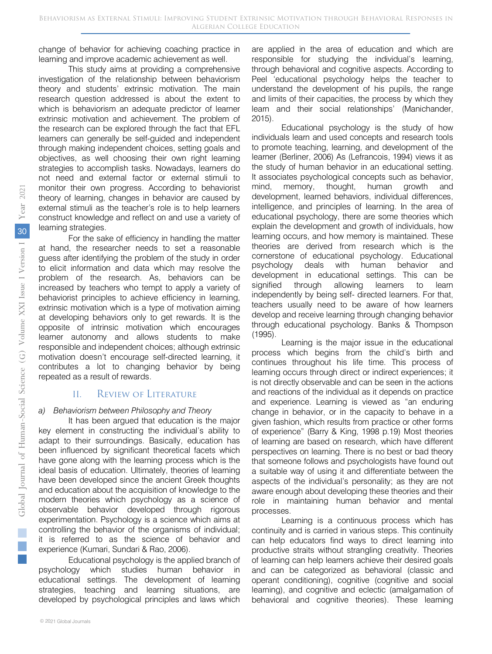change of behavior for achieving coaching practice in learning and improve academic achievement as well.

This study aims at providing a comprehensive investigation of the relationship between behaviorism theory and students' extrinsic motivation. The main research question addressed is about the extent to which is behaviorism an adequate predictor of learner extrinsic motivation and achievement. The problem of the research can be explored through the fact that EFL learners can generally be self-guided and independent through making independent choices, setting goals and objectives, as well choosing their own right learning strategies to accomplish tasks. Nowadays, learners do not need and external factor or external stimuli to monitor their own progress. According to behaviorist theory of learning, changes in behavior are caused by external stimuli as the teacher's role is to help learners construct knowledge and reflect on and use a variety of learning strategies.

For the sake of efficiency in handling the matter at hand, the researcher needs to set a reasonable guess after identifying the problem of the study in order to elicit information and data which may resolve the problem of the research. As, behaviors can be increased by teachers who tempt to apply a variety of behaviorist principles to achieve efficiency in learning, extrinsic motivation which is a type of motivation aiming at developing behaviors only to get rewards. It is the opposite of intrinsic motivation which encourages learner autonomy and allows students to make responsible and independent choices; although extrinsic motivation doesn't encourage self-directed learning, it contributes a lot to changing behavior by being repeated as a result of rewards.

## II. Review of Literature

#### *a) Behaviorism between Philosophy and Theory*

It has been argued that education is the major key element in constructing the individual's ability to adapt to their surroundings. Basically, education has been influenced by significant theoretical facets which have gone along with the learning process which is the ideal basis of education. Ultimately, theories of learning have been developed since the ancient Greek thoughts and education about the acquisition of knowledge to the modern theories which psychology as a science of observable behavior developed through rigorous experimentation. Psychology is a science which aims at controlling the behavior of the organisms of individual; it is referred to as the science of behavior and experience (Kumari, Sundari & Rao, 2006).

Educational psychology is the applied branch of psychology which studies human behavior in educational settings. The development of learning strategies, teaching and learning situations, are developed by psychological principles and laws which are applied in the area of education and which are responsible for studying the individual's learning, through behavioral and cognitive aspects. According to Peel 'educational psychology helps the teacher to understand the development of his pupils, the range and limits of their capacities, the process by which they learn and their social relationships' (Manichander, 2015).

Educational psychology is the study of how individuals learn and used concepts and research tools to promote teaching, learning, and development of the learner (Berliner, 2006) As (Lefrancois, 1994) views it as the study of human behavior in an educational setting. It associates psychological concepts such as behavior, mind, memory, thought, human growth and development, learned behaviors, individual differences, intelligence, and principles of learning. In the area of educational psychology, there are some theories which explain the development and growth of individuals, how learning occurs, and how memory is maintained. These theories are derived from research which is the cornerstone of educational psychology. Educational psychology deals with human behavior and development in educational settings. This can be signified through allowing learners to learn independently by being self- directed learners. For that, teachers usually need to be aware of how learners develop and receive learning through changing behavior through educational psychology. Banks & Thompson (1995).

Learning is the major issue in the educational process which begins from the child's birth and continues throughout his life time. This process of learning occurs through direct or indirect experiences; it is not directly observable and can be seen in the actions and reactions of the individual as it depends on practice and experience. Learning is viewed as "an enduring change in behavior, or in the capacity to behave in a given fashion, which results from practice or other forms of experience" (Barry & King, 1998 p.19) Most theories of learning are based on research, which have different perspectives on learning. There is no best or bad theory that someone follows and psychologists have found out a suitable way of using it and differentiate between the aspects of the individual's personality; as they are not aware enough about developing these theories and their role in maintaining human behavior and mental processes.

Learning is a continuous process which has continuity and is carried in various steps. This continuity can help educators find ways to direct learning into productive straits without strangling creativity. Theories of learning can help learners achieve their desired goals and can be categorized as behavioral (classic and operant conditioning), cognitive (cognitive and social learning), and cognitive and eclectic (amalgamation of behavioral and cognitive theories). These learning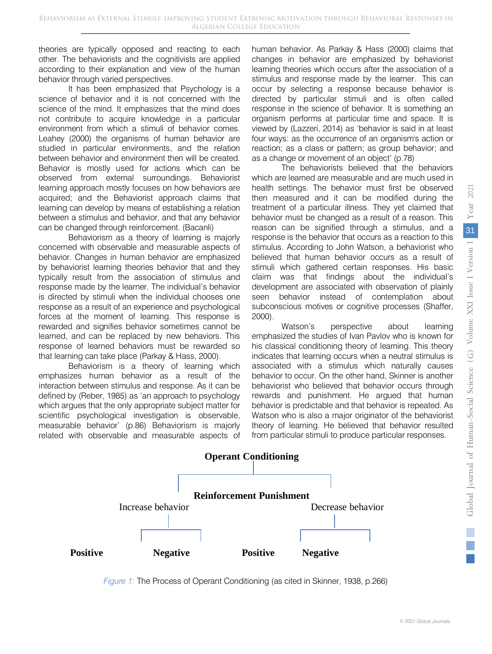theories are typically opposed and reacting to each other. The behaviorists and the cognitivists are applied according to their explanation and view of the human behavior through varied perspectives.

It has been emphasized that Psychology is a science of behavior and it is not concerned with the science of the mind. It emphasizes that the mind does not contribute to acquire knowledge in a particular environment from which a stimuli of behavior comes. Leahey (2000) the organisms of human behavior are studied in particular environments, and the relation between behavior and environment then will be created. Behavior is mostly used for actions which can be observed from external surroundings. Behaviorist learning approach mostly focuses on how behaviors are acquired; and the Behaviorist approach claims that learning can develop by means of establishing a relation between a stimulus and behavior, and that any behavior can be changed through reinforcement. (Bacanli)

Behaviorism as a theory of learning is majorly concerned with observable and measurable aspects of behavior. Changes in human behavior are emphasized by behaviorist learning theories behavior that and they typically result from the association of stimulus and response made by the learner. The individual's behavior is directed by stimuli when the individual chooses one response as a result of an experience and psychological forces at the moment of learning. This response is rewarded and signifies behavior sometimes cannot be learned, and can be replaced by new behaviors. This response of learned behaviors must be rewarded so that learning can take place (Parkay & Hass, 2000).

Behaviorism is a theory of learning which emphasizes human behavior as a result of the interaction between stimulus and response. As it can be defined by (Reber, 1985) as 'an approach to psychology which argues that the only appropriate subject matter for scientific psychological investigation is observable, measurable behavior' (p.86) Behaviorism is majorly related with observable and measurable aspects of human behavior. As Parkay & Hass (2000) claims that changes in behavior are emphasized by behaviorist learning theories which occurs after the association of a stimulus and response made by the learner. This can occur by selecting a response because behavior is directed by particular stimuli and is often called response in the science of behavior. It is something an organism performs at particular time and space. It is viewed by (Lazzeri, 2014) as 'behavior is said in at least four ways: as the occurrence of an organism's action or reaction; as a class or pattern; as group behavior; and as a change or movement of an object' (p.78)

The behaviorists believed that the behaviors which are learned are measurable and are much used in health settings. The behavior must first be observed then measured and it can be modified during the treatment of a particular illness. They yet claimed that behavior must be changed as a result of a reason. This reason can be signified through a stimulus, and a response is the behavior that occurs as a reaction to this stimulus. According to John Watson, a behaviorist who believed that human behavior occurs as a result of stimuli which gathered certain responses. His basic claim was that findings about the individual's development are associated with observation of plainly seen behavior instead of contemplation about subconscious motives or cognitive processes (Shaffer, 2000).

Watson's perspective about learning emphasized the studies of Ivan Pavlov who is known for his classical conditioning theory of learning. This theory indicates that learning occurs when a neutral stimulus is associated with a stimulus which naturally causes behavior to occur. On the other hand, Skinner is another behaviorist who believed that behavior occurs through rewards and punishment. He argued that human behavior is predictable and that behavior is repeated. As Watson who is also a major originator of the behaviorist theory of learning. He believed that behavior resulted from particular stimuli to produce particular responses.



*Figure 1:* The Process of Operant Conditioning (as cited in Skinner, 1938, p.266)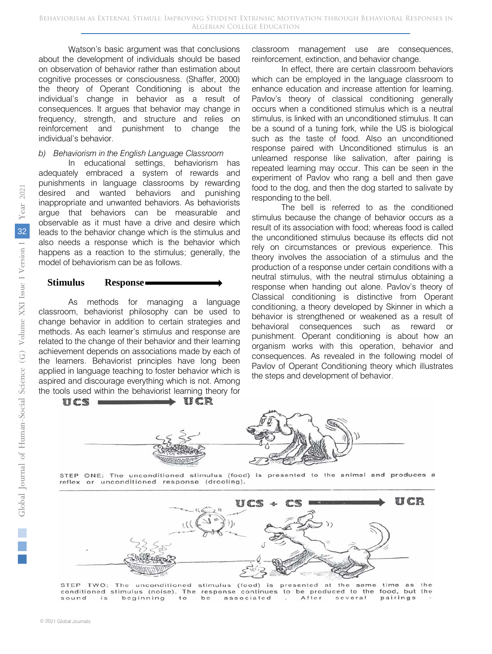Watson's basic argument was that conclusions about the development of individuals should be based on observation of behavior rather than estimation about cognitive processes or consciousness. (Shaffer, 2000) the theory of Operant Conditioning is about the individual's change in behavior as a result of consequences. It argues that behavior may change in frequency, strength, and structure and relies on reinforcement and punishment to change the individual's behavior.

### *b) Behaviorism in the English Language Classroom*

In educational settings, behaviorism has adequately embraced a system of rewards and punishments in language classrooms by rewarding desired and wanted behaviors and punishing inappropriate and unwanted behaviors. As behaviorists argue that behaviors can be measurable and observable as it must have a drive and desire which leads to the behavior change which is the stimulus and also needs a response which is the behavior which happens as a reaction to the stimulus; generally, the model of behaviorism can be as follows.

#### **Stimulus Response**

As methods for managing a language classroom, behaviorist philosophy can be used to change behavior in addition to certain strategies and methods. As each learner's stimulus and response are related to the change of their behavior and their learning achievement depends on associations made by each of the learners. Behaviorist principles have long been applied in language teaching to foster behavior which is aspired and discourage everything which is not. Among the tools used within the behaviorist learning theory for

classroom management use are consequences, reinforcement, extinction, and behavior change.

In effect, there are certain classroom behaviors which can be employed in the language classroom to enhance education and increase attention for learning. Pavlov's theory of classical conditioning generally occurs when a conditioned stimulus which is a neutral stimulus, is linked with an unconditioned stimulus. It can be a sound of a tuning fork, while the US is biological such as the taste of food. Also an unconditioned response paired with Unconditioned stimulus is an unlearned response like salivation, after pairing is repeated learning may occur. This can be seen in the experiment of Pavlov who rang a bell and then gave food to the dog, and then the dog started to salivate by responding to the bell.

The bell is referred to as the conditioned stimulus because the change of behavior occurs as a result of its association with food; whereas food is called the unconditioned stimulus because its effects did not rely on circumstances or previous experience. This theory involves the association of a stimulus and the production of a response under certain conditions with a neutral stimulus, with the neutral stimulus obtaining a response when handing out alone. Pavlov's theory of Classical conditioning is distinctive from Operant conditioning, a theory developed by Skinner in which a behavior is strengthened or weakened as a result of behavioral consequences such as reward or punishment. Operant conditioning is about how an organism works with this operation, behavior and consequences. As revealed in the following model of Pavlov of Operant Conditioning theory which illustrates the steps and development of behavior.



j

STEP ONE: The unconditioned stimulus (food) is presented to the animal and produces a reflex or unconditioned response (drooling).



STEP TWO: The unconditioned stimulus (food) is presented at the same time as the conditioned stimulus (noise). The response continues to be produced to the food, but the After sound beginning  $t<sub>o</sub>$ be associated several pairings is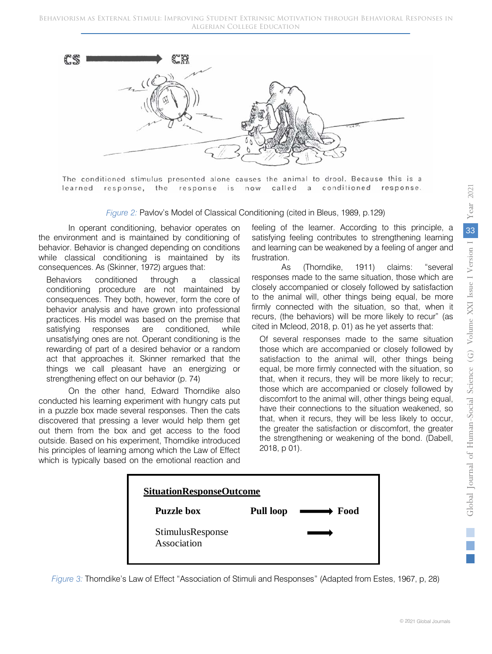

The conditioned stimulus presented alone causes the animal to drool. Because this is a learned response, the response is now called a conditioned response.

*Figure 2:* Pavlov's Model of Classical Conditioning (cited in Bleus, 1989, p.129)

In operant conditioning, behavior operates on the environment and is maintained by conditioning of behavior. Behavior is changed depending on conditions while classical conditioning is maintained by its consequences. As (Skinner, 1972) argues that:

Behaviors conditioned through a classical conditioning procedure are not maintained by consequences. They both, however, form the core of behavior analysis and have grown into professional practices. His model was based on the premise that satisfying responses are conditioned, while unsatisfying ones are not. Operant conditioning is the rewarding of part of a desired behavior or a random act that approaches it. Skinner remarked that the things we call pleasant have an energizing or strengthening effect on our behavior (p. 74)

On the other hand, Edward Thorndike also conducted his learning experiment with hungry cats put in a puzzle box made several responses. Then the cats discovered that pressing a lever would help them get out them from the box and get access to the food outside. Based on his experiment, Thorndike introduced his principles of learning among which the Law of Effect which is typically based on the emotional reaction and feeling of the learner. According to this principle, a satisfying feeling contributes to strengthening learning and learning can be weakened by a feeling of anger and frustration.

As (Thorndike, 1911) claims: "several responses made to the same situation, those which are closely accompanied or closely followed by satisfaction to the animal will, other things being equal, be more firmly connected with the situation, so that, when it recurs, (the behaviors) will be more likely to recur" (as cited in Mcleod, 2018, p. 01) as he yet asserts that:

Of several responses made to the same situation those which are accompanied or closely followed by satisfaction to the animal will, other things being equal, be more firmly connected with the situation, so that, when it recurs, they will be more likely to recur; those which are accompanied or closely followed by discomfort to the animal will, other things being equal, have their connections to the situation weakened, so that, when it recurs, they will be less likely to occur, the greater the satisfaction or discomfort, the greater the strengthening or weakening of the bond. (Dabell, 2018, p 01).



*Figure 3:* Thorndike's Law of Effect "Association of Stimuli and Responses" (Adapted from Estes, 1967, p, 28)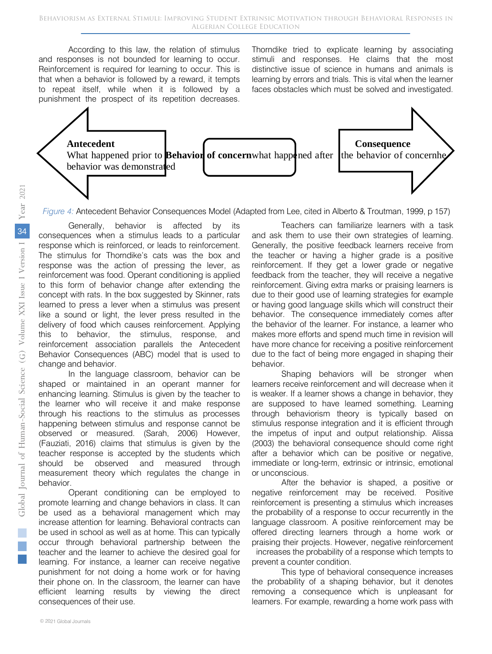According to this law, the relation of stimulus and responses is not bounded for learning to occur. Reinforcement is required for learning to occur. This is that when a behavior is followed by a reward, it tempts to repeat itself, while when it is followed by a punishment the prospect of its repetition decreases.

Thorndike tried to explicate learning by associating stimuli and responses. He claims that the most distinctive issue of science in humans and animals is learning by errors and trials. This is vital when the learner faces obstacles which must be solved and investigated.



*Figure 4:* Antecedent Behavior Consequences Model (Adapted from Lee, cited in Alberto & Troutman, 1999, p 157)

Generally, behavior is affected by its consequences when a stimulus leads to a particular response which is reinforced, or leads to reinforcement. The stimulus for Thorndike's cats was the box and response was the action of pressing the lever, as reinforcement was food. Operant conditioning is applied to this form of behavior change after extending the concept with rats. In the box suggested by Skinner, rats learned to press a lever when a stimulus was present like a sound or light, the lever press resulted in the delivery of food which causes reinforcement. Applying this to behavior, the stimulus, response, and reinforcement association parallels the Antecedent Behavior Consequences (ABC) model that is used to change and behavior.

In the language classroom, behavior can be shaped or maintained in an operant manner for enhancing learning. Stimulus is given by the teacher to the learner who will receive it and make response through his reactions to the stimulus as processes happening between stimulus and response cannot be observed or measured. (Sarah, 2006) However, (Fauziati, 2016) claims that stimulus is given by the teacher response is accepted by the students which should be observed and measured through measurement theory which regulates the change in behavior.

Operant conditioning can be employed to promote learning and change behaviors in class. It can be used as a behavioral management which may increase attention for learning. Behavioral contracts can be used in school as well as at home. This can typically occur through behavioral partnership between the teacher and the learner to achieve the desired goal for learning. For instance, a learner can receive negative punishment for not doing a home work or for having their phone on. In the classroom, the learner can have efficient learning results by viewing the direct consequences of their use.

Teachers can familiarize learners with a task and ask them to use their own strategies of learning. Generally, the positive feedback learners receive from the teacher or having a higher grade is a positive reinforcement. If they get a lower grade or negative feedback from the teacher, they will receive a negative reinforcement. Giving extra marks or praising learners is due to their good use of learning strategies for example or having good language skills which will construct their behavior. The consequence immediately comes after the behavior of the learner. For instance, a learner who makes more efforts and spend much time in revision will have more chance for receiving a positive reinforcement due to the fact of being more engaged in shaping their behavior.

Shaping behaviors will be stronger when learners receive reinforcement and will decrease when it is weaker. If a learner shows a change in behavior, they are supposed to have learned something. Learning through behaviorism theory is typically based on stimulus response integration and it is efficient through the impetus of input and output relationship. Alissa (2003) the behavioral consequence should come right after a behavior which can be positive or negative, immediate or long-term, extrinsic or intrinsic, emotional or unconscious.

After the behavior is shaped, a positive or negative reinforcement may be received. Positive reinforcement is presenting a stimulus which increases the probability of a response to occur recurrently in the language classroom. A positive reinforcement may be offered directing learners through a home work or praising their projects. However, negative reinforcement increases the probability of a response which tempts to prevent a counter condition.

This type of behavioral consequence increases the probability of a shaping behavior, but it denotes removing a consequence which is unpleasant for learners. For example, rewarding a home work pass with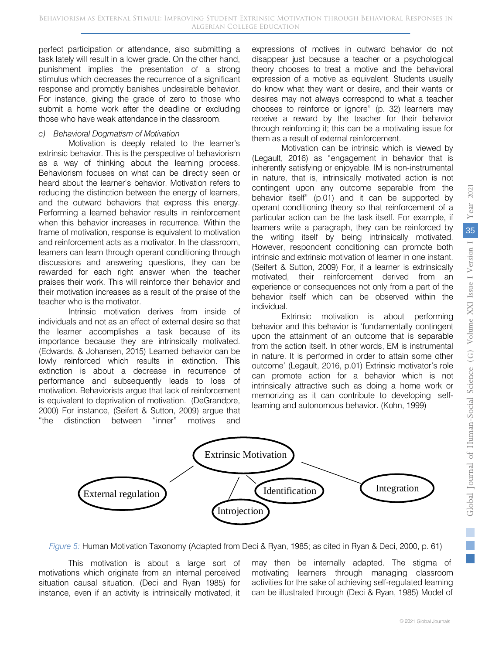perfect participation or attendance, also submitting a task lately will result in a lower grade. On the other hand, punishment implies the presentation of a strong stimulus which decreases the recurrence of a significant response and promptly banishes undesirable behavior. For instance, giving the grade of zero to those who submit a home work after the deadline or excluding those who have weak attendance in the classroom.

#### *c) Behavioral Dogmatism of Motivation*

Motivation is deeply related to the learner's extrinsic behavior. This is the perspective of behaviorism as a way of thinking about the learning process. Behaviorism focuses on what can be directly seen or heard about the learner's behavior. Motivation refers to reducing the distinction between the energy of learners, and the outward behaviors that express this energy. Performing a learned behavior results in reinforcement when this behavior increases in recurrence. Within the frame of motivation, response is equivalent to motivation and reinforcement acts as a motivator. In the classroom, learners can learn through operant conditioning through discussions and answering questions, they can be rewarded for each right answer when the teacher praises their work. This will reinforce their behavior and their motivation increases as a result of the praise of the teacher who is the motivator.

Intrinsic motivation derives from inside of individuals and not as an effect of external desire so that the learner accomplishes a task because of its importance because they are intrinsically motivated. (Edwards, & Johansen, 2015) Learned behavior can be lowly reinforced which results in extinction. This extinction is about a decrease in recurrence of performance and subsequently leads to loss of motivation. Behaviorists argue that lack of reinforcement is equivalent to deprivation of motivation. (DeGrandpre, 2000) For instance, (Seifert & Sutton, 2009) argue that "the distinction between "inner" motives and expressions of motives in outward behavior do not disappear just because a teacher or a psychological theory chooses to treat a motive and the behavioral expression of a motive as equivalent. Students usually do know what they want or desire, and their wants or desires may not always correspond to what a teacher chooses to reinforce or ignore" (p. 32) learners may receive a reward by the teacher for their behavior through reinforcing it; this can be a motivating issue for them as a result of external reinforcement.

Motivation can be intrinsic which is viewed by (Legault, 2016) as "engagement in behavior that is inherently satisfying or enjoyable. IM is non-instrumental in nature, that is, intrinsically motivated action is not contingent upon any outcome separable from the behavior itself" (p.01) and it can be supported by operant conditioning theory so that reinforcement of a particular action can be the task itself. For example, if learners write a paragraph, they can be reinforced by the writing itself by being intrinsically motivated. However, respondent conditioning can promote both intrinsic and extrinsic motivation of learner in one instant. (Seifert & Sutton, 2009) For, if a learner is extrinsically motivated, their reinforcement derived from an experience or consequences not only from a part of the behavior itself which can be observed within the individual.

Extrinsic motivation is about performing behavior and this behavior is 'fundamentally contingent upon the attainment of an outcome that is separable from the action itself. In other words, EM is instrumental in nature. It is performed in order to attain some other outcome' (Legault, 2016, p.01) Extrinsic motivator's role can promote action for a behavior which is not intrinsically attractive such as doing a home work or memorizing as it can contribute to developing selflearning and autonomous behavior. (Kohn, 1999)



*Figure 5:* Human Motivation Taxonomy (Adapted from Deci & Ryan, 1985; as cited in Ryan & Deci, 2000, p. 61)

This motivation is about a large sort of motivations which originate from an internal perceived situation causal situation. (Deci and Ryan 1985) for instance, even if an activity is intrinsically motivated, it may then be internally adapted. The stigma of motivating learners through managing classroom activities for the sake of achieving self-regulated learning can be illustrated through (Deci & Ryan, 1985) Model of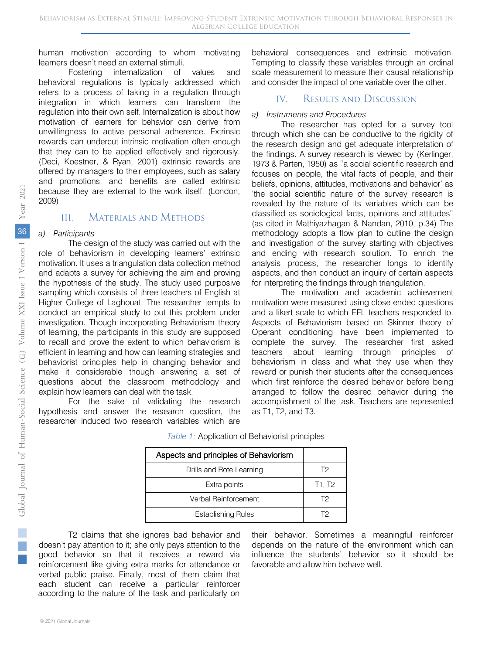human motivation according to whom motivating learners doesn't need an external stimuli.

Fostering internalization of values and behavioral regulations is typically addressed which refers to a process of taking in a regulation through integration in which learners can transform the regulation into their own self. Internalization is about how motivation of learners for behavior can derive from unwillingness to active personal adherence. Extrinsic rewards can undercut intrinsic motivation often enough that they can to be applied effectively and rigorously. (Deci, Koestner, & Ryan, 2001) extrinsic rewards are offered by managers to their employees, such as salary and promotions, and benefits are called extrinsic because they are external to the work itself. (London, 2009)

## III. Materials and Methods

### *a) Participants*

The design of the study was carried out with the role of behaviorism in developing learners' extrinsic motivation. It uses a triangulation data collection method and adapts a survey for achieving the aim and proving the hypothesis of the study. The study used purposive sampling which consists of three teachers of English at Higher College of Laghouat. The researcher tempts to conduct an empirical study to put this problem under investigation. Though incorporating Behaviorism theory of learning, the participants in this study are supposed to recall and prove the extent to which behaviorism is efficient in learning and how can learning strategies and behaviorist principles help in changing behavior and make it considerable though answering a set of questions about the classroom methodology and explain how learners can deal with the task.

For the sake of validating the research hypothesis and answer the research question, the researcher induced two research variables which are

behavioral consequences and extrinsic motivation. Tempting to classify these variables through an ordinal scale measurement to measure their causal relationship and consider the impact of one variable over the other.

## IV. Results and Discussion

#### *a) Instruments and Procedures*

The researcher has opted for a survey tool through which she can be conductive to the rigidity of the research design and get adequate interpretation of the findings. A survey research is viewed by (Kerlinger, 1973 & Parten, 1950) as "a social scientific research and focuses on people, the vital facts of people, and their beliefs, opinions, attitudes, motivations and behavior' as 'the social scientific nature of the survey research is revealed by the nature of its variables which can be classified as sociological facts, opinions and attitudes" (as cited in Mathiyazhagan & Nandan, 2010, p.34) The methodology adopts a flow plan to outline the design and investigation of the survey starting with objectives and ending with research solution. To enrich the analysis process, the researcher longs to identify aspects, and then conduct an inquiry of certain aspects for interpreting the findings through triangulation.

The motivation and academic achievement motivation were measured using close ended questions and a likert scale to which EFL teachers responded to. Aspects of Behaviorism based on Skinner theory of Operant conditioning have been implemented to complete the survey. The researcher first asked teachers about learning through principles of behaviorism in class and what they use when they reward or punish their students after the consequences which first reinforce the desired behavior before being arranged to follow the desired behavior during the accomplishment of the task. Teachers are represented as T1, T2, and T3.

| Aspects and principles of Behaviorism |        |
|---------------------------------------|--------|
| Drills and Rote Learning              | T2     |
| Extra points                          | T1, T2 |
| Verbal Reinforcement                  | T2     |
| <b>Establishing Rules</b>             | 12     |

| Table 1: Application of Behaviorist principles |  |
|------------------------------------------------|--|
|------------------------------------------------|--|

T2 claims that she ignores bad behavior and doesn't pay attention to it; she only pays attention to the good behavior so that it receives a reward via reinforcement like giving extra marks for attendance or verbal public praise. Finally, most of them claim that each student can receive a particular reinforcer according to the nature of the task and particularly on

their behavior. Sometimes a meaningful reinforcer depends on the nature of the environment which can influence the students' behavior so it should be favorable and allow him behave well.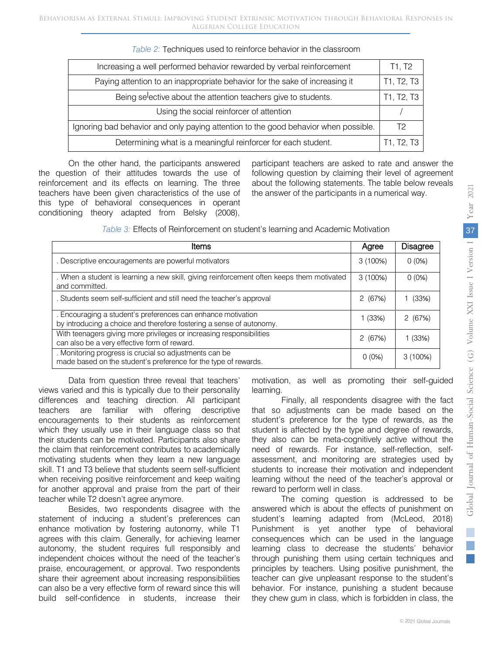| Increasing a well performed behavior rewarded by verbal reinforcement               | T1, T2     |
|-------------------------------------------------------------------------------------|------------|
| Paying attention to an inappropriate behavior for the sake of increasing it         | T1, T2, T3 |
| Being selective about the attention teachers give to students.                      | T1, T2, T3 |
| Using the social reinforcer of attention                                            |            |
| Ignoring bad behavior and only paying attention to the good behavior when possible. | T2         |
| Determining what is a meaningful reinforcer for each student.                       | T1, T2, T3 |

On the other hand, the participants answered the question of their attitudes towards the use of reinforcement and its effects on learning. The three teachers have been given characteristics of the use of this type of behavioral consequences in operant conditioning theory adapted from Belsky (2008),

participant teachers are asked to rate and answer the following question by claiming their level of agreement about the following statements. The table below reveals the answer of the participants in a numerical way.

| Table 3: Effects of Reinforcement on student's learning and Academic Motivation |  |
|---------------------------------------------------------------------------------|--|
|---------------------------------------------------------------------------------|--|

| Items                                                                                                                                |          | <b>Disagree</b> |
|--------------------------------------------------------------------------------------------------------------------------------------|----------|-----------------|
| . Descriptive encouragements are powerful motivators                                                                                 | 3(100%)  | $0(0\%)$        |
| . When a student is learning a new skill, giving reinforcement often keeps them motivated<br>and committed.                          | 3(100%)  | $0(0\%)$        |
| . Students seem self-sufficient and still need the teacher's approval                                                                | 2(67%)   | (33%)           |
| . Encouraging a student's preferences can enhance motivation<br>by introducing a choice and therefore fostering a sense of autonomy. | 1(33%)   | 2(67%)          |
| With teenagers giving more privileges or increasing responsibilities<br>can also be a very effective form of reward.                 | 2(67%)   | 1 (33%)         |
| . Monitoring progress is crucial so adjustments can be<br>made based on the student's preference for the type of rewards.            | $0(0\%)$ | $3(100\%)$      |

Data from question three reveal that teachers' views varied and this is typically due to their personality differences and teaching direction. All participant teachers are familiar with offering descriptive encouragements to their students as reinforcement which they usually use in their language class so that their students can be motivated. Participants also share the claim that reinforcement contributes to academically motivating students when they learn a new language skill. T1 and T3 believe that students seem self-sufficient when receiving positive reinforcement and keep waiting for another approval and praise from the part of their teacher while T2 doesn't agree anymore.

Besides, two respondents disagree with the statement of inducing a student's preferences can enhance motivation by fostering autonomy, while T1 agrees with this claim. Generally, for achieving learner autonomy, the student requires full responsibly and independent choices without the need of the teacher's praise, encouragement, or approval. Two respondents share their agreement about increasing responsibilities can also be a very effective form of reward since this will build self-confidence in students, increase their

motivation, as well as promoting their self-guided learning.

Finally, all respondents disagree with the fact that so adjustments can be made based on the student's preference for the type of rewards, as the student is affected by the type and degree of rewards, they also can be meta-cognitively active without the need of rewards. For instance, self-reflection, selfassessment, and monitoring are strategies used by students to increase their motivation and independent learning without the need of the teacher's approval or reward to perform well in class.

The coming question is addressed to be answered which is about the effects of punishment on student's learning adapted from (McLeod, 2018) Punishment is yet another type of behavioral consequences which can be used in the language learning class to decrease the students' behavior through punishing them using certain techniques and principles by teachers. Using positive punishment, the teacher can give unpleasant response to the student's behavior. For instance, punishing a student because they chew gum in class, which is forbidden in class, the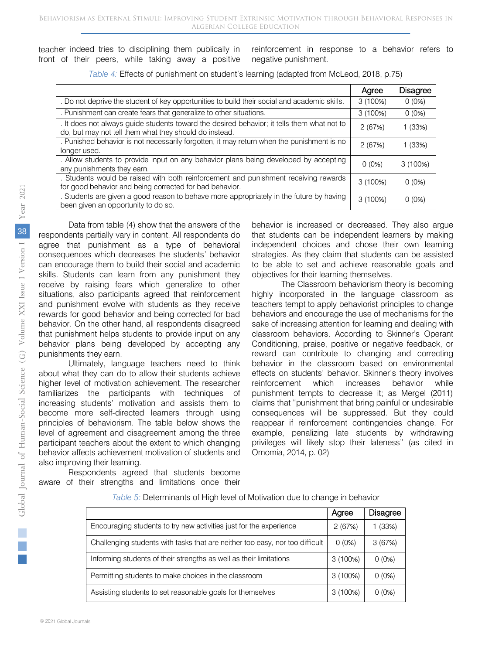teacher indeed tries to disciplining them publically in front of their peers, while taking away a positive reinforcement in response to a behavior refers to negative punishment.

|                                                                                                                                                      | Agree    | <b>Disagree</b> |
|------------------------------------------------------------------------------------------------------------------------------------------------------|----------|-----------------|
| . Do not deprive the student of key opportunities to build their social and academic skills.                                                         | 3(100%)  | $0(0\%)$        |
| . Punishment can create fears that generalize to other situations.                                                                                   | 3(100%)  | $0(0\%)$        |
| . It does not always guide students toward the desired behavior; it tells them what not to<br>do, but may not tell them what they should do instead. | 2(67%)   | 1(33%)          |
| . Punished behavior is not necessarily forgotten, it may return when the punishment is no<br>longer used.                                            | 2(67%)   | 1(33%)          |
| . Allow students to provide input on any behavior plans being developed by accepting<br>any punishments they earn.                                   | $0(0\%)$ | 3(100%)         |
| . Students would be raised with both reinforcement and punishment receiving rewards<br>for good behavior and being corrected for bad behavior.       | 3(100%)  | $0(0\%)$        |
| . Students are given a good reason to behave more appropriately in the future by having<br>been given an opportunity to do so.                       | 3(100%)  | $0(0\%)$        |

*Table 4:* Effects of punishment on student's learning (adapted from McLeod, 2018, p.75)

Data from table (4) show that the answers of the respondents partially vary in content. All respondents do agree that punishment as a type of behavioral consequences which decreases the students' behavior can encourage them to build their social and academic skills. Students can learn from any punishment they receive by raising fears which generalize to other situations, also participants agreed that reinforcement and punishment evolve with students as they receive rewards for good behavior and being corrected for bad behavior. On the other hand, all respondents disagreed that punishment helps students to provide input on any behavior plans being developed by accepting any punishments they earn. Ultimately, language teachers need to think about what they can do to allow their students achieve higher level of motivation achievement. The researcher familiarizes the participants with techniques of increasing students' motivation and assists them to become more self-directed learners through using principles of behaviorism. The table below shows the

also improving their learning.

level of agreement and disagreement among the three participant teachers about the extent to which changing behavior affects achievement motivation of students and

aware of their strengths and limitations once their

Respondents agreed that students become

behavior is increased or decreased. They also argue that students can be independent learners by making independent choices and chose their own learning strategies. As they claim that students can be assisted to be able to set and achieve reasonable goals and objectives for their learning themselves.

The Classroom behaviorism theory is becoming highly incorporated in the language classroom as teachers tempt to apply behaviorist principles to change behaviors and encourage the use of mechanisms for the sake of increasing attention for learning and dealing with classroom behaviors. According to Skinner's Operant Conditioning, praise, positive or negative feedback, or reward can contribute to changing and correcting behavior in the classroom based on environmental effects on students' behavior. Skinner's theory involves reinforcement which increases behavior while punishment tempts to decrease it; as Mergel (2011) claims that "punishment that bring painful or undesirable consequences will be suppressed. But they could reappear if reinforcement contingencies change. For example, penalizing late students by withdrawing privileges will likely stop their lateness" (as cited in Omomia, 2014, p. 02)

|                                                                              | Agree    | <b>Disagree</b> |
|------------------------------------------------------------------------------|----------|-----------------|
| Encouraging students to try new activities just for the experience           | 2(67%)   | (33%)           |
| Challenging students with tasks that are neither too easy, nor too difficult | $0(0\%)$ | 3(67%)          |
| Informing students of their strengths as well as their limitations           | 3(100%)  | $0(0\%)$        |
| Permitting students to make choices in the classroom                         | 3(100%)  | $0(0\%)$        |
| Assisting students to set reasonable goals for themselves                    | 3(100%)  | $0(0\%)$        |

| Table 5: Determinants of High level of Motivation due to change in behavior |  |
|-----------------------------------------------------------------------------|--|
|                                                                             |  |
|                                                                             |  |
|                                                                             |  |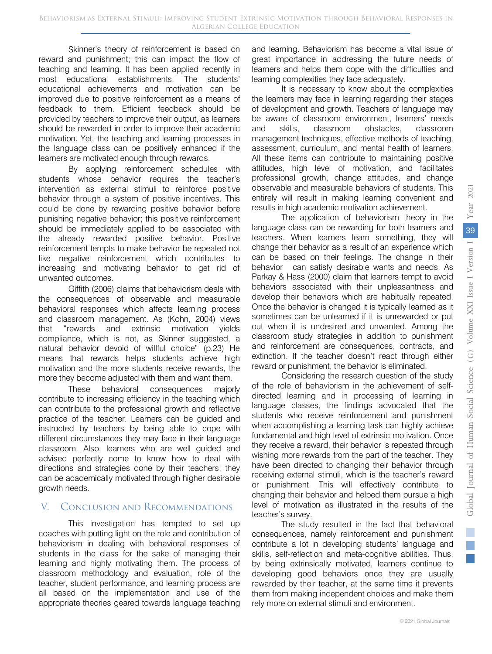Skinner's theory of reinforcement is based on reward and punishment; this can impact the flow of teaching and learning. It has been applied recently in most educational establishments. The students' educational achievements and motivation can be improved due to positive reinforcement as a means of feedback to them. Efficient feedback should be provided by teachers to improve their output, as learners should be rewarded in order to improve their academic motivation. Yet, the teaching and learning processes in the language class can be positively enhanced if the learners are motivated enough through rewards.

By applying reinforcement schedules with students whose behavior requires the teacher's intervention as external stimuli to reinforce positive behavior through a system of positive incentives. This could be done by rewarding positive behavior before punishing negative behavior; this positive reinforcement should be immediately applied to be associated with the already rewarded positive behavior. Positive reinforcement tempts to make behavior be repeated not like negative reinforcement which contributes to increasing and motivating behavior to get rid of unwanted outcomes.

Giffith (2006) claims that behaviorism deals with the consequences of observable and measurable behavioral responses which affects learning process and classroom management. As (Kohn, 2004) views that "rewards and extrinsic motivation yields compliance, which is not, as Skinner suggested, a natural behavior devoid of willful choice" (p.23) He means that rewards helps students achieve high motivation and the more students receive rewards, the more they become adjusted with them and want them.

These behavioral consequences majorly contribute to increasing efficiency in the teaching which can contribute to the professional growth and reflective practice of the teacher. Learners can be guided and instructed by teachers by being able to cope with different circumstances they may face in their language classroom. Also, learners who are well guided and advised perfectly come to know how to deal with directions and strategies done by their teachers; they can be academically motivated through higher desirable growth needs.

## V. Conclusion and Recommendations

This investigation has tempted to set up coaches with putting light on the role and contribution of behaviorism in dealing with behavioral responses of students in the class for the sake of managing their learning and highly motivating them. The process of classroom methodology and evaluation, role of the teacher, student performance, and learning process are all based on the implementation and use of the appropriate theories geared towards language teaching

and learning. Behaviorism has become a vital issue of great importance in addressing the future needs of learners and helps them cope with the difficulties and learning complexities they face adequately.

It is necessary to know about the complexities the learners may face in learning regarding their stages of development and growth. Teachers of language may be aware of classroom environment, learners' needs and skills, classroom obstacles, classroom management techniques, effective methods of teaching, assessment, curriculum, and mental health of learners. All these items can contribute to maintaining positive attitudes, high level of motivation, and facilitates professional growth, change attitudes, and change observable and measurable behaviors of students. This entirely will result in making learning convenient and results in high academic motivation achievement.

The application of behaviorism theory in the language class can be rewarding for both learners and teachers. When learners learn something, they will change their behavior as a result of an experience which can be based on their feelings. The change in their behavior can satisfy desirable wants and needs. As Parkay & Hass (2000) claim that learners tempt to avoid behaviors associated with their unpleasantness and develop their behaviors which are habitually repeated. Once the behavior is changed it is typically learned as it sometimes can be unlearned if it is unrewarded or put out when it is undesired and unwanted. Among the classroom study strategies in addition to punishment and reinforcement are consequences, contracts, and extinction. If the teacher doesn't react through either reward or punishment, the behavior is eliminated.

Considering the research question of the study of the role of behaviorism in the achievement of selfdirected learning and in processing of learning in language classes, the findings advocated that the students who receive reinforcement and punishment when accomplishing a learning task can highly achieve fundamental and high level of extrinsic motivation. Once they receive a reward, their behavior is repeated through wishing more rewards from the part of the teacher. They have been directed to changing their behavior through receiving external stimuli, which is the teacher's reward or punishment. This will effectively contribute to changing their behavior and helped them pursue a high level of motivation as illustrated in the results of the teacher's survey.

The study resulted in the fact that behavioral consequences, namely reinforcement and punishment contribute a lot in developing students' language and skills, self-reflection and meta-cognitive abilities. Thus, by being extrinsically motivated, learners continue to developing good behaviors once they are usually rewarded by their teacher, at the same time it prevents them from making independent choices and make them rely more on external stimuli and environment.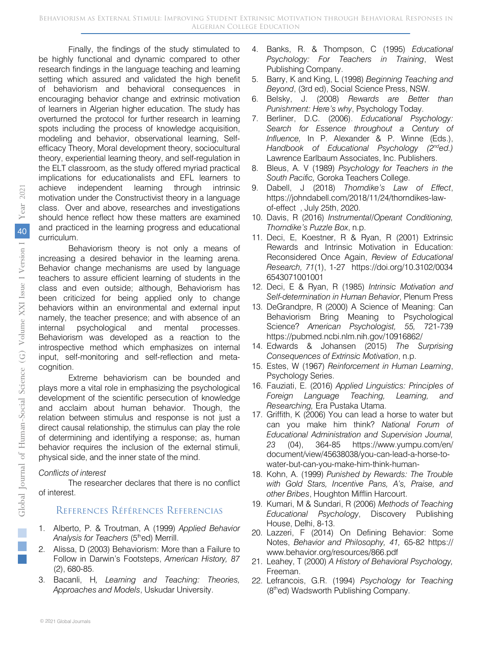Finally, the findings of the study stimulated to be highly functional and dynamic compared to other research findings in the language teaching and learning setting which assured and validated the high benefit of behaviorism and behavioral consequences in encouraging behavior change and extrinsic motivation of learners in Algerian higher education. The study has overturned the protocol for further research in learning spots including the process of knowledge acquisition. modeling and behavior, observational learning, Selfefficacy Theory, Moral development theory, sociocultural theory, experiential learning theory, and self-regulation in the ELT classroom, as the study offered myriad practical implications for educationalists and EFL learners to achieve independent learning through intrinsic motivation under the Constructivist theory in a language class. Over and above, researches and investigations should hence reflect how these matters are examined and practiced in the learning progress and educational curriculum.

Behaviorism theory is not only a means of increasing a desired behavior in the learning arena. Behavior change mechanisms are used by language teachers to assure efficient learning of students in the class and even outside; although, Behaviorism has been criticized for being applied only to change behaviors within an environmental and external input namely, the teacher presence; and with absence of an internal psychological and mental processes. Behaviorism was developed as a reaction to the introspective method which emphasizes on internal input, self-monitoring and self-reflection and metacognition.

Extreme behaviorism can be bounded and plays more a vital role in emphasizing the psychological development of the scientific persecution of knowledge and acclaim about human behavior. Though, the relation between stimulus and response is not just a direct causal relationship, the stimulus can play the role of determining and identifying a response; as, human behavior requires the inclusion of the external stimuli, physical side, and the inner state of the mind.

#### *Conflicts of interest*

The researcher declares that there is no conflict of interest.

## References Références Referencias

- 1. Alberto, P. & Troutman, A (1999) *Applied Behavior*  Analysis for Teachers (5<sup>th</sup>ed) Merrill.
- 2. Alissa, D (2003) Behaviorism: More than a Failure to Follow in Darwin's Footsteps, *American History, 87* (2), 680-85.
- 3. Bacanli, H*, Learning and Teaching: Theories, Approaches and Models*, Uskudar University.
- 4. Banks, R. & Thompson, C (1995) *Educational Psychology: For Teachers in Training*, West Publishing Company.
- 5. Barry, K and King, L (1998) *Beginning Teaching and Beyond*, (3rd ed), Social Science Press, NSW.
- 6. Belsky, J. (2008) *Rewards are Better than Punishment: Here's why*, Psychology Today.
- 7. Berliner, D.C. (2006). *Educational Psychology: Search for Essence throughout a Century of Influence,* In P. Alexander & P. Winne (Eds.), *Handbook of Educational Psychology (2nded.)* Lawrence Earlbaum Associates, Inc. Publishers.
- 8. Bleus, A. V (1989) *Psychology for Teachers in the South Pacific,* Goroka Teachers College.
- 9. Dabell, J (2018) *Thorndike's Law of Effect*, [https://johndabell.com/2018/11/24/thorndikes-law](https://johndabell.com/2018/11/24/thorndikes-law-of-effect)[of-effect](https://johndabell.com/2018/11/24/thorndikes-law-of-effect) , July 25th, 2020.
- 10. Davis, R (2016) *Instrumental/Operant Conditioning, Thorndike's Puzzle Box*, n.p.
- 11. Deci, E, Koestner, R & Ryan, R (2001) Extrinsic Rewards and Intrinsic Motivation in Education: Reconsidered Once Again, *Review of Educational Research, 71*(1), 1-27 https://doi.org/10.3102/0034 6543071001001
- 12. Deci, E & Ryan, R (1985) *Intrinsic Motivation and Self-determination in Human Behavior*, Plenum Press
- 13. DeGrandpre, R (2000) A Science of Meaning: Can Behaviorism Bring Meaning to Psychological Science? *American Psychologist, 55,* 721-739 https://pubmed.ncbi.nlm.nih.gov/10916862/
- 14. Edwards & Johansen (2015) *The Surprising Consequences of Extrinsic Motivation*, n.p.
- 15. Estes, W (1967) *Reinforcement in Human Learning*, Psychology Series.
- 16. Fauziati, E. (2016) *Applied Linguistics: Principles of Foreign Language Teaching, Learning, and Researching,* Era Pustaka Utama.
- 17. Griffith, K (2006) You can lead a horse to water but can you make him think? *National Forum of Educational Administration and Supervision Journal, 23* (04), 364-85 https://www.yumpu.com/en/ document/view/45638038/you-can-lead-a-horse-towater-but-can-you-make-him-think-human-
- 18. Kohn, A. (1999) *Punished by Rewards: The Trouble with Gold Stars, Incentive Pans, A's, Praise, and other Bribes*, Houghton Mifflin Harcourt.
- 19. Kumari, M & Sundari, R (2006) *Methods of Teaching Educational Psychology*, Discovery Publishing House, Delhi, 8-13.
- 20. Lazzeri, F (2014) On Defining Behavior: Some Notes, *Behavior and Philosophy, 41,* 65-82 https:// www.behavior.org/resources/866.pdf
- 21. Leahey, T (2000) *A History of Behavioral Psychology,* Freeman.
- 22. Lefrancois, G.R. (1994) *Psychology for Teaching* (8<sup>th</sup>ed) Wadsworth Publishing Company.